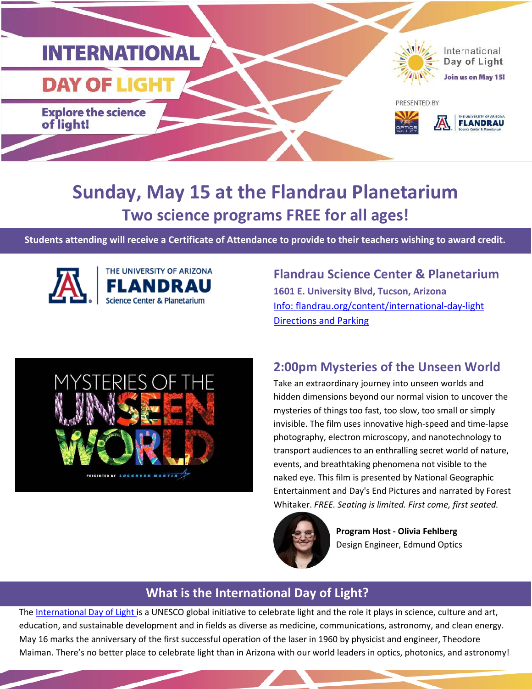

### **Sunday, May 15 at the Flandrau Planetarium Two science programs FREE for all ages!**

**Students attending will receive a Certificate of Attendance to provide to their teachers wishing to award credit.**





## **Flandrau Science Center & Planetarium**

**1601 E. University Blvd, Tucson, Arizona**  Info: flandrau.org/content/international-day-light [Directions and Parking](https://flandrau.org/visit/parking) 

#### **2:00pm Mysteries of the Unseen World**

Take an extraordinary journey into unseen worlds and hidden dimensions beyond our normal vision to uncover the mysteries of things too fast, too slow, too small or simply invisible. The film uses innovative high-speed and time-lapse photography, electron microscopy, and nanotechnology to transport audiences to an enthralling secret world of nature, events, and breathtaking phenomena not visible to the naked eye. This film is presented by National Geographic Entertainment and Day's End Pictures and narrated by Forest Whitaker. *FREE. Seating is limited. First come, first seated.*



**Program Host - Olivia Fehlberg**  Design Engineer, Edmund Optics

#### **What is the International Day of Light?**

[The International Day of Light](https://www.lightday.org/) is a UNESCO global initiative to celebrate light and the role it plays in science, culture and art, education, and sustainable development and in fields as diverse as medicine, communications, astronomy, and clean energy. May 16 marks the anniversary of the first successful operation of the laser in 1960 by physicist and engineer, Theodore Maiman. There's no better place to celebrate light than in Arizona with our world leaders in optics, photonics, and astronomy!